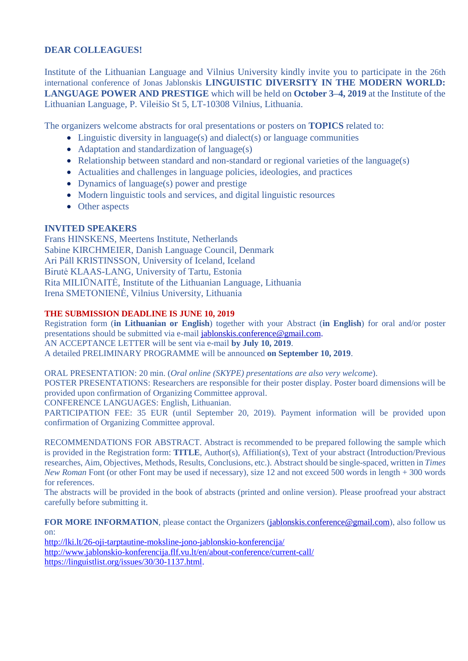## **DEAR COLLEAGUES!**

Institute of the Lithuanian Language and Vilnius University kindly invite you to participate in the 26th international conference of Jonas Jablonskis **LINGUISTIC DIVERSITY IN THE MODERN WORLD: LANGUAGE POWER AND PRESTIGE** which will be held on **October 3–4, 2019** at the Institute of the Lithuanian Language, P. Vileišio St 5, LT-10308 Vilnius, Lithuania.

The organizers welcome abstracts for oral presentations or posters on **TOPICS** related to:

- Linguistic diversity in language(s) and dialect(s) or language communities
- Adaptation and standardization of language(s)
- Relationship between standard and non-standard or regional varieties of the language(s)
- Actualities and challenges in language policies, ideologies, and practices
- Dynamics of language(s) power and prestige
- Modern linguistic tools and services, and digital linguistic resources
- Other aspects

# **INVITED SPEAKERS**

Frans HINSKENS, Meertens Institute, Netherlands Sabine KIRCHMEIER, Danish Language Council, Denmark Ari Páll KRISTINSSON, University of Iceland, Iceland Birutė KLAAS-LANG, University of Tartu, Estonia Rita MILIŪNAITĖ, Institute of the Lithuanian Language, Lithuania Irena SMETONIENĖ, Vilnius University, Lithuania

## **THE SUBMISSION DEADLINE IS JUNE 10, 2019**

Registration form (**in Lithuanian or English**) together with your Abstract (**in English**) for oral and/or poster presentations should be submitted via e-mail [jablonskis.conference@gmail.com.](mailto:jablonskis.conference@gmail.com) AN ACCEPTANCE LETTER will be sent via e-mail **by July 10, 2019**.

A detailed PRELIMINARY PROGRAMME will be announced **on September 10, 2019**.

ORAL PRESENTATION: 20 min. (*Oral online (SKYPE) presentations are also very welcome*).

POSTER PRESENTATIONS: Researchers are responsible for their poster display. Poster board dimensions will be provided upon confirmation of Organizing Committee approval.

CONFERENCE LANGUAGES: English, Lithuanian.

PARTICIPATION FEE: 35 EUR (until September 20, 2019). Payment information will be provided upon confirmation of Organizing Committee approval.

RECOMMENDATIONS FOR ABSTRACT. Abstract is recommended to be prepared following the sample which is provided in the Registration form: **TITLE**, Author(s), Affiliation(s), Text of your abstract (Introduction/Previous researches, Aim, Objectives, Methods, Results, Conclusions, etc.). Abstract should be single-spaced, written in *Times New Roman* Font (or other Font may be used if necessary), size 12 and not exceed 500 words in length + 300 words for references.

The abstracts will be provided in the book of abstracts (printed and online version). Please proofread your abstract carefully before submitting it.

**FOR MORE INFORMATION**, please contact the Organizers [\(jablonskis.conference@gmail.com\)](mailto:jablonskis.conference@gmail.com), also follow us on:

[http://lki.lt/26-oji-tarptautine-moksline-jono-jablonskio-konferencija/](http://lki.lt/26-oji-tarptautine-moksline-jono-jablonskio-konferencija/?fbclid=IwAR3-43tcUXBaAHn8oMi2Gk_k7c9FUBjtkV2jmbgfBeU01K1Bd-lyCH_9pVQ) [http://www.jablonskio-konferencija.flf.vu.lt/en/about-conference/current-call/](http://www.jablonskio-konferencija.flf.vu.lt/en/about-conference/current-call/?fbclid=IwAR0kkcKRAmsjiahpXY_hXL1r_2aFjboeKdgTaBYXUl-NlQ5mOeqEuOWrQu4) [https://linguistlist.org/issues/30/30-1137.html.](https://linguistlist.org/issues/30/30-1137.html?fbclid=IwAR0ds7W-z8O7_JKw7caWpzYUCyM-yWfFhwddOa82wDIJfm0jSv1wuwsci88)